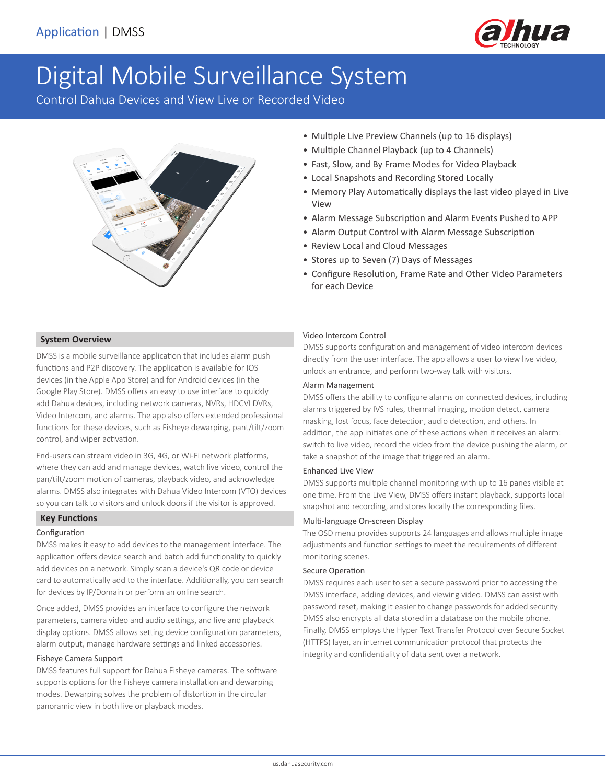

# Digital Mobile Surveillance System

Control Dahua Devices and View Live or Recorded Video



- Multiple Live Preview Channels (up to 16 displays)
- Multiple Channel Playback (up to 4 Channels)
- Fast, Slow, and By Frame Modes for Video Playback
- Local Snapshots and Recording Stored Locally
- Memory Play Automatically displays the last video played in Live View
- Alarm Message Subscription and Alarm Events Pushed to APP
- Alarm Output Control with Alarm Message Subscription
- Review Local and Cloud Messages
- Stores up to Seven (7) Days of Messages
- Configure Resolution, Frame Rate and Other Video Parameters for each Device

#### **System Overview**

DMSS is a mobile surveillance application that includes alarm push functions and P2P discovery. The application is available for IOS devices (in the Apple App Store) and for Android devices (in the Google Play Store). DMSS offers an easy to use interface to quickly add Dahua devices, including network cameras, NVRs, HDCVI DVRs, Video Intercom, and alarms. The app also offers extended professional functions for these devices, such as Fisheye dewarping, pant/tilt/zoom control, and wiper activation.

End-users can stream video in 3G, 4G, or Wi-Fi network platforms, where they can add and manage devices, watch live video, control the pan/tilt/zoom motion of cameras, playback video, and acknowledge alarms. DMSS also integrates with Dahua Video Intercom (VTO) devices so you can talk to visitors and unlock doors if the visitor is approved.

### **Key Functions**

#### Configuration

DMSS makes it easy to add devices to the management interface. The application offers device search and batch add functionality to quickly add devices on a network. Simply scan a device's QR code or device card to automatically add to the interface. Additionally, you can search for devices by IP/Domain or perform an online search.

Once added, DMSS provides an interface to configure the network parameters, camera video and audio settings, and live and playback display options. DMSS allows setting device configuration parameters, alarm output, manage hardware settings and linked accessories.

# Fisheye Camera Support

DMSS features full support for Dahua Fisheye cameras. The software supports options for the Fisheye camera installation and dewarping modes. Dewarping solves the problem of distortion in the circular panoramic view in both live or playback modes.

#### Video Intercom Control

DMSS supports configuration and management of video intercom devices directly from the user interface. The app allows a user to view live video, unlock an entrance, and perform two-way talk with visitors.

#### Alarm Management

DMSS offers the ability to configure alarms on connected devices, including alarms triggered by IVS rules, thermal imaging, motion detect, camera masking, lost focus, face detection, audio detection, and others. In addition, the app initiates one of these actions when it receives an alarm: switch to live video, record the video from the device pushing the alarm, or take a snapshot of the image that triggered an alarm.

#### Enhanced Live View

DMSS supports multiple channel monitoring with up to 16 panes visible at one time. From the Live View, DMSS offers instant playback, supports local snapshot and recording, and stores locally the corresponding files.

#### Multi-language On-screen Display

The OSD menu provides supports 24 languages and allows multiple image adjustments and function settings to meet the requirements of different monitoring scenes.

# Secure Operation

DMSS requires each user to set a secure password prior to accessing the DMSS interface, adding devices, and viewing video. DMSS can assist with password reset, making it easier to change passwords for added security. DMSS also encrypts all data stored in a database on the mobile phone. Finally, DMSS employs the Hyper Text Transfer Protocol over Secure Socket (HTTPS) layer, an internet communication protocol that protects the integrity and confidentiality of data sent over a network.